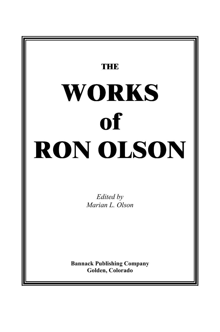# **THE WORKS of RON OLSON**

*Edited by Marian L. Olson*

**Bannack Publishing Company Golden, Colorado**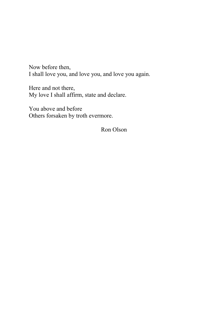Now before then, I shall love you, and love you, and love you again.

Here and not there, My love I shall affirm, state and declare.

You above and before Others forsaken by troth evermore.

Ron Olson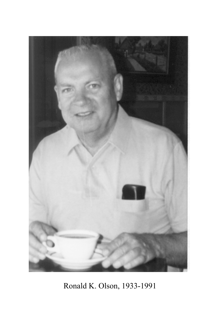

Ronald K. Olson, 1933-1991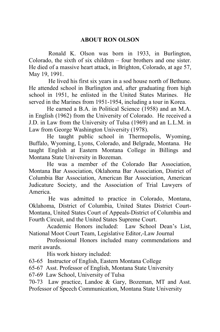### **ABOUT RON OLSON**

 Ronald K. Olson was born in 1933, in Burlington, Colorado, the sixth of six children – four brothers and one sister. He died of a massive heart attack, in Brighton, Colorado, at age 57, May 19, 1991.

 He lived his first six years in a sod house north of Bethune. He attended school in Burlington and, after graduating from high school in 1951, he enlisted in the United States Marines. He served in the Marines from 1951-1954, including a tour in Korea.

 He earned a B.A. in Political Science (1958) and an M.A. in English (1962) from the University of Colorado. He received a J.D. in Law from the University of Tulsa (1969) and an L.L.M. in Law from George Washington University (1978).

 He taught public school in Thermopolis, Wyoming, Buffalo, Wyoming, Lyons, Colorado, and Belgrade, Montana. He taught English at Eastern Montana College in Billings and Montana State University in Bozeman.

He was a member of the Colorado Bar Association, Montana Bar Association, Oklahoma Bar Association, District of Columbia Bar Association, American Bar Association, American Judicature Society, and the Association of Trial Lawyers of America.

 He was admitted to practice in Colorado, Montana, Oklahoma, District of Columbia, United States District Court-Montana, United States Court of Appeals-District of Columbia and Fourth Circuit, and the United States Supreme Court.

Academic Honors included: Law School Dean's List, National Moot Court Team, Legislative Editor,-Law Journal

Professional Honors included many commendations and merit awards.

His work history included:

63-65 Instructor of English, Eastern Montana College

65-67 Asst. Professor of English, Montana State University

67-69 Law School, University of Tulsa

70-73 Law practice, Landoe & Gary, Bozeman, MT and Asst. Professor of Speech Communication, Montana State University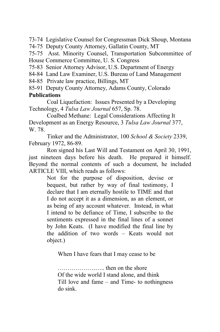73-74 Legislative Counsel for Congressman Dick Shoup, Montana

74-75 Deputy County Attorney, Gallatin County, MT

75-75 Asst. Minority Counsel, Transportation Subcommittee of House Commerce Committee, U. S. Congress

75-83 Senior Attorney Advisor, U.S. Department of Energy

84-84 Land Law Examiner, U.S. Bureau of Land Management

84-85 Private law practice, Billings, MT

85-91 Deputy County Attorney, Adams County, Colorado

### **Publications**

Coal Liquefaction: Issues Presented by a Developing Technology, 4 *Tulsa Law Journal* 657, Sp. 78.

Coalbed Methane: Legal Considerations Affecting It Development as an Energy Resource, 3 *Tulsa Law Journal* 377, W. 78.

Tinker and the Administrator, 100 *School & Society* 2339, February 1972, 86-89.

Ron signed his Last Will and Testament on April 30, 1991, just nineteen days before his death. He prepared it himself. Beyond the normal contents of such a document, he included ARTICLE VIII, which reads as follows:

> Not for the purpose of disposition, devise or bequest, but rather by way of final testimony, I declare that I am eternally hostile to TIME and that I do not accept it as a dimension, as an element, or as being of any account whatever. Instead, in what I intend to be defiance of Time, I subscribe to the sentiments expressed in the final lines of a sonnet by John Keats. (I have modified the final line by the addition of two words – Keats would not object.)

When I have fears that I may cease to be

……………….….. then on the shore Of the wide world I stand alone, and think Till love and fame – and Time- to nothingness do sink.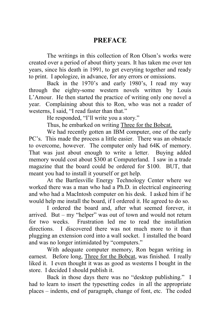## **PREFACE**

The writings in this collection of Ron Olson's works were created over a period of about thirty years. It has taken me over ten years, since his death in 1991, to get everyting together and ready to print. I apologize, in advance, for any errors or omissions.

Back in the 1970's and early 1980's, I read my way through the eighty-some western novels written by Louis L'Amour. He then started the practice of writing only one novel a year. Complaining about this to Ron, who was not a reader of westerns, I said, "I read faster than that."

He responded, "I'll write you a story."

Thus, he embarked on writing Three for the Bobcat.

We had recently gotten an IBM computer, one of the early PC's. This made the process a little easier. There was an obstacle to overcome, however. The computer only had 64K of memory. That was just about enough to write a letter. Buying added memory would cost about \$300 at Computerland. I saw in a trade magazine that the board could be ordered for \$100. BUT, that meant you had to install it yourself or get help.

At the Bartlesville Energy Technology Center where we worked there was a man who had a Ph.D. in electrical engineering and who had a MacIntosh computer on his desk. I asked him if he would help me install the board, if I ordered it. He agreed to do so.

I ordered the board and, after what seemed forever, it arrived. But – my "helper" was out of town and would not return for two weeks. Frustration led me to read the installation directions. I discovered there was not much more to it than plugging an extension cord into a wall socket. I installed the board and was no longer intimidated by "computers."

With adequate computer memory, Ron began writing in earnest. Before long, Three for the Bobcat, was finished. I really liked it. I even thought it was as good as westerns I bought in the store. I decided I should publish it.

Back in those days there was no "desktop publishing." I had to learn to insert the typesetting codes in all the appropriate places – indents, end of paragraph, change of font, etc. The coded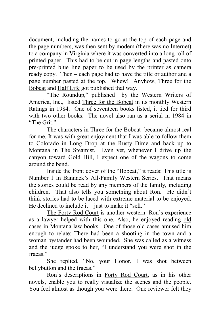document, including the names to go at the top of each page and the page numbers, was then sent by modem (there was no Internet) to a company in Virginia where it was converted into a long roll of printed paper. This had to be cut in page lengths and pasted onto pre-printed blue line paper to be used by the printer as camera ready copy. Then – each page had to have the title or author and a page number pasted at the top. Whew! Anyhow, Three for the Bobcat and Half Life got published that way.

"The Roundup," published by the Western Writers of America, Inc., listed Three for the Bobcat in its monthly Western Ratings in 1984. One of seventeen books listed, it tied for third with two other books. The novel also ran as a serial in 1984 in "The Grit"

The characters in Three for the Bobcat became almost real for me. It was with great enjoyment that I was able to follow them to Colorado in Long Drop at the Rusty Dime and back up to Montana in The Steamist. Even yet, whenever I drive up the canyon toward Gold Hill, I expect one of the wagons to come around the bend.

Inside the front cover of the "Bobcat," it reads: This title is Number 1 In Bannack's All-Family Western Series. That means the stories could be read by any members of the family, including children. That also tells you something about Ron. He didn't think stories had to be laced with extreme material to be enjoyed. He declined to include it – just to make it "sell."

The Forty Rod Court is another western. Ron's experience as a lawyer helped with this one. Also, he enjoyed reading old cases in Montana law books. One of those old cases amused him enough to relate: There had been a shooting in the town and a woman bystander had been wounded. She was called as a witness and the judge spoke to her, "I understand you were shot in the fracas<sup>"</sup>

She replied, "No, your Honor, I was shot between bellybutton and the fracas."

Ron's descriptions in Forty Rod Court, as in his other novels, enable you to really visualize the scenes and the people. You feel almost as though you were there. One reviewer felt they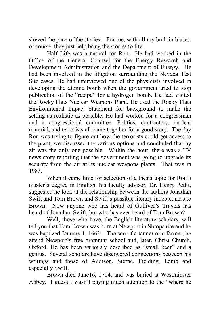slowed the pace of the stories. For me, with all my built in biases, of course, they just help bring the stories to life.

Half Life was a natural for Ron. He had worked in the Office of the General Counsel for the Energy Research and Development Administration and the Department of Energy. He had been involved in the litigation surrounding the Nevada Test Site cases. He had interviewed one of the physicists involved in developing the atomic bomb when the government tried to stop publication of the "recipe" for a hydrogen bomb. He had visited the Rocky Flats Nuclear Weapons Plant. He used the Rocky Flats Environmental Impact Statement for background to make the setting as realistic as possible. He had worked for a congressman and a congressional committee. Politics, contractors, nuclear material, and terrorists all came together for a good story. The day Ron was trying to figure out how the terrorists could get access to the plant, we discussed the various options and concluded that by air was the only one possible. Within the hour, there was a TV news story reporting that the government was going to upgrade its security from the air at its nuclear weapons plants. That was in 1983.

When it came time for selection of a thesis topic for Ron's master's degree in English, his faculty advisor, Dr. Henry Pettit, suggested he look at the relationship between the authors Jonathan Swift and Tom Brown and Swift's possible literary indebtedness to Brown. Now anyone who has heard of Gulliver's Travels has heard of Jonathan Swift, but who has ever heard of Tom Brown?

Well, those who have, the English literature scholars, will tell you that Tom Brown was born at Newport in Shropshire and he was baptized January 1, 1663. The son of a tanner or a farmer, he attend Newport's free grammar school and, later, Christ Church, Oxford. He has been variously described as "small beer" and a genius. Several scholars have discovered connections between his writings and those of Addison, Sterne, Fielding, Lamb and especially Swift.

Brown died June16, 1704, and was buried at Westminster Abbey. I guess I wasn't paying much attention to the "where he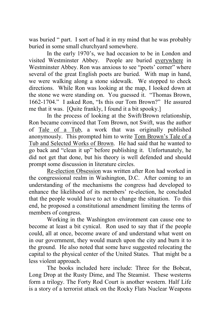was buried " part. I sort of had it in my mind that he was probably buried in some small churchyard somewhere.

In the early 1970's, we had occasion to be in London and visited Westminster Abbey. People are buried everywhere in Westminster Abbey. Ron was anxious to see "poets' corner" where several of the great English poets are buried. With map in hand, we were walking along a stone sidewalk. We stopped to check directions. While Ron was looking at the map, I looked down at the stone we were standing on. You guessed it. "Thomas Brown, 1662-1704." I asked Ron, "Is this our Tom Brown?" He assured me that it was. [Quite frankly, I found it a bit spooky.]

In the process of looking at the Swift/Brown relationship, Ron became convinced that Tom Brown, not Swift, was the author of Tale of a Tub, a work that was originally published anonymously. This prompted him to write Tom Brown's Tale of a Tub and Selected Works of Brown. He had said that he wanted to go back and "clean it up" before publishing it. Unfortunately, he did not get that done, but his theory is well defended and should prompt some discussion in literature circles.

Re-election Obsession was written after Ron had worked in the congressional realm in Washington, D.C. After coming to an understanding of the mechanisms the congress had developed to enhance the likelihood of its members' re-election, he concluded that the people would have to act to change the situation. To this end, he proposed a constitutional amendment limiting the terms of members of congress.

Working in the Washington environment can cause one to become at least a bit cynical. Ron used to say that if the people could, all at once, become aware of and understand what went on in our government, they would march upon the city and burn it to the ground. He also noted that some have suggested relocating the capital to the physical center of the United States. That might be a less violent approach.

The books included here include: Three for the Bobcat, Long Drop at the Rusty Dime, and The Steamist. These westerns form a trilogy. The Forty Rod Court is another western. Half Life is a story of a terrorist attack on the Rocky Flats Nuclear Weapons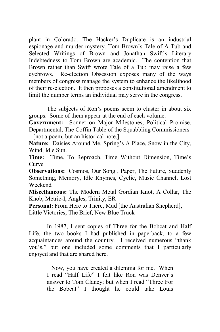plant in Colorado. The Hacker's Duplicate is an industrial espionage and murder mystery. Tom Brown's Tale of A Tub and Selected Writings of Brown and Jonathan Swift's Literary Indebtedness to Tom Brown are academic. The contention that Brown rather than Swift wrote Tale of a Tub may raise a few eyebrows. Re-election Obsession exposes many of the ways members of congress manage the system to enhance the likelihood of their re-election. It then proposes a constitutional amendment to limit the number terms an individual may serve in the congress.

The subjects of Ron's poems seem to cluster in about six groups. Some of them appear at the end of each volume.

**Government:** Sonnet on Major Milestones, Political Promise, Departmental, The Coffin Table of the Squabbling Commissioners

[not a poem, but an historical note.]

**Nature:** Daisies Around Me, Spring's A Place, Snow in the City, Wind, Idle Sun.

**Time:** Time, To Reproach, Time Without Dimension, Time's Curve

**Observations:** Cosmos, Our Song, Paper, The Future, Suddenly Something, Memory, Idle Rhymes, Cyclic, Music Channel, Lost Weekend

**Miscellaneous:** The Modern Metal Gordian Knot, A Collar, The Knob, Metric-I, Angles, Trinity, ER

Personal: From Here to There, Mud [the Australian Shepherd], Little Victories, The Brief, New Blue Truck

In 1987, I sent copies of Three for the Bobcat and Half Life, the two books I had published in paperback, to a few acquaintances around the country. I received numerous "thank you's," but one included some comments that I particularly enjoyed and that are shared here.

> Now, you have created a dilemma for me. When I read "Half Life" I felt like Ron was Denver's answer to Tom Clancy; but when I read "Three For the Bobcat" I thought he could take Louis